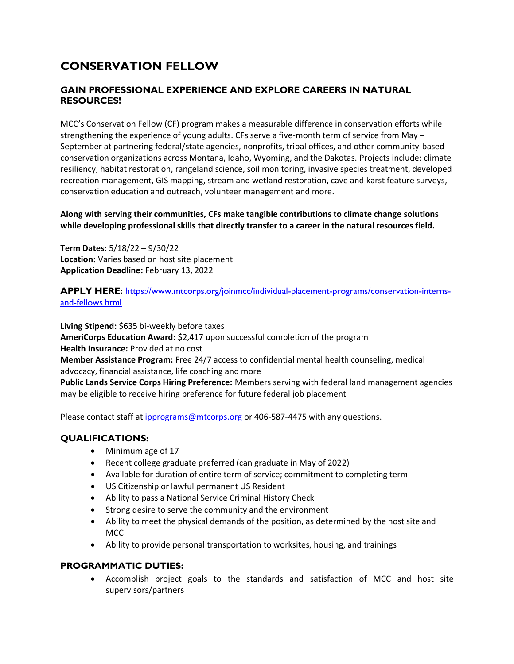# **CONSERVATION FELLOW**

## **GAIN PROFESSIONAL EXPERIENCE AND EXPLORE CAREERS IN NATURAL RESOURCES!**

MCC's Conservation Fellow (CF) program makes a measurable difference in conservation efforts while strengthening the experience of young adults. CFs serve a five-month term of service from May – September at partnering federal/state agencies, nonprofits, tribal offices, and other community-based conservation organizations across Montana, Idaho, Wyoming, and the Dakotas. Projects include: climate resiliency, habitat restoration, rangeland science, soil monitoring, invasive species treatment, developed recreation management, GIS mapping, stream and wetland restoration, cave and karst feature surveys, conservation education and outreach, volunteer management and more.

**Along with serving their communities, CFs make tangible contributions to climate change solutions while developing professional skills that directly transfer to a career in the natural resources field.**

**Term Dates:** 5/18/22 – 9/30/22 **Location:** Varies based on host site placement **Application Deadline:** February 13, 2022

**APPLY HERE:** [https://www.mtcorps.org/joinmcc/individual-placement-programs/conservation-interns](https://www.mtcorps.org/joinmcc/individual-placement-programs/conservation-interns-and-fellows.html)[and-fellows.html](https://www.mtcorps.org/joinmcc/individual-placement-programs/conservation-interns-and-fellows.html)

**Living Stipend:** \$635 bi-weekly before taxes **AmeriCorps Education Award:** \$2,417 upon successful completion of the program **Health Insurance:** Provided at no cost **Member Assistance Program:** Free 24/7 access to confidential mental health counseling, medical advocacy, financial assistance, life coaching and more **Public Lands Service Corps Hiring Preference:** Members serving with federal land management agencies may be eligible to receive hiring preference for future federal job placement

Please contact staff at [ipprograms@mtcorps.org](mailto:ipprograms@mtcorps.org) or 406-587-4475 with any questions.

### **QUALIFICATIONS:**

- Minimum age of 17
- Recent college graduate preferred (can graduate in May of 2022)
- Available for duration of entire term of service; commitment to completing term
- US Citizenship or lawful permanent US Resident
- Ability to pass a National Service Criminal History Check
- Strong desire to serve the community and the environment
- Ability to meet the physical demands of the position, as determined by the host site and MCC
- Ability to provide personal transportation to worksites, housing, and trainings

### **PROGRAMMATIC DUTIES:**

 Accomplish project goals to the standards and satisfaction of MCC and host site supervisors/partners